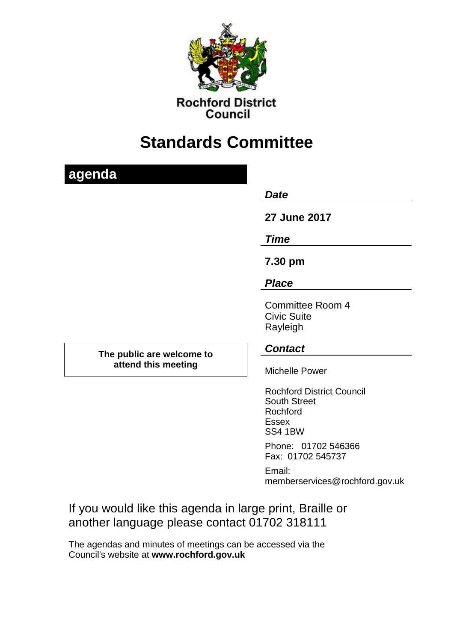

**Rochford District** Council

# **Standards Committee**

# **agenda** *Date*  **27 June 2017** *Time* **7.30 pm** *Place* Committee Room 4 Civic Suite Rayleigh **The public are welcome to attend this meeting** *Contact* Michelle Power Rochford District Council South Street Rochford Essex SS4 1BW Phone: 01702 546366 Fax: 01702 545737 Email: memberservices@rochford.gov.uk

If you would like this agenda in large print, Braille or another language please contact 01702 318111

The agendas and minutes of meetings can be accessed via the Council's website at **[www.rochford.gov.uk](http://www.rochford.gov.uk/)**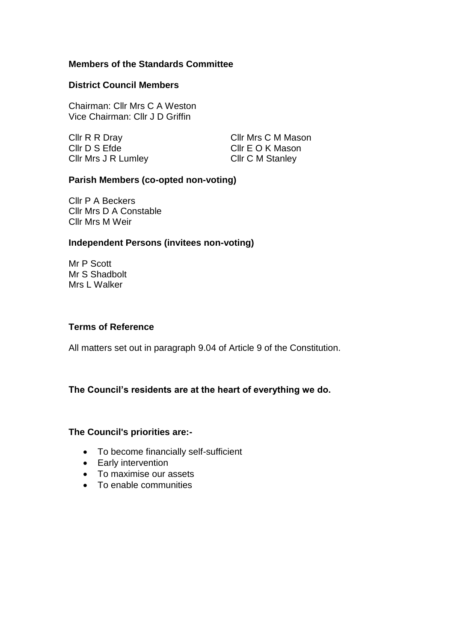## **Members of the Standards Committee**

#### **District Council Members**

Chairman: Cllr Mrs C A Weston Vice Chairman: Cllr J D Griffin

Cllr D S Efde Cllr E O K Mason Cllr Mrs J R Lumley Cllr C M Stanley

Cllr R R Dray Cllr Mrs C M Mason

### **Parish Members (co-opted non-voting)**

Cllr P A Beckers Cllr Mrs D A Constable Cllr Mrs M Weir

### **Independent Persons (invitees non-voting)**

Mr P Scott Mr S Shadbolt Mrs L Walker

#### **Terms of Reference**

All matters set out in paragraph 9.04 of Article 9 of the Constitution.

# **The Council's residents are at the heart of everything we do.**

#### **The Council's priorities are:-**

- To become financially self-sufficient
- Early intervention
- To maximise our assets
- To enable communities